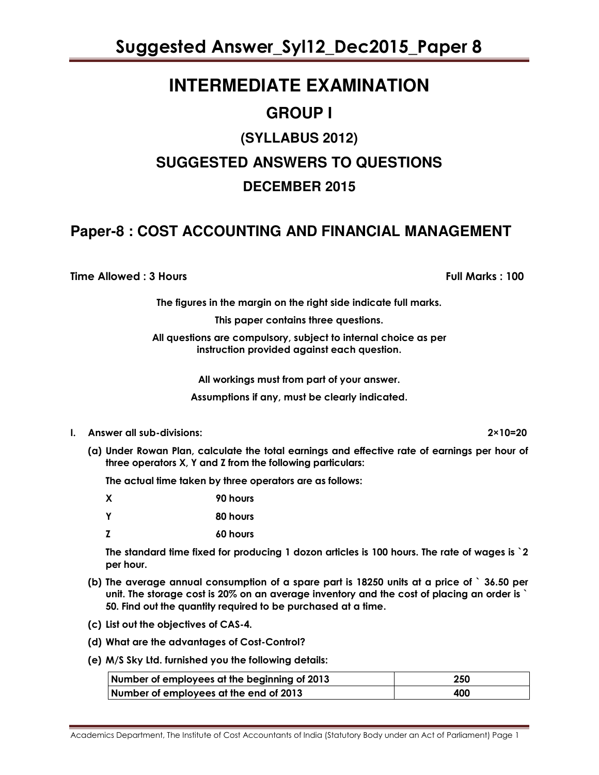# **INTERMEDIATE EXAMINATION**

### **GROUP I**

# **(SYLLABUS 2012) SUGGESTED ANSWERS TO QUESTIONS DECEMBER 2015**

### **Paper-8 : COST ACCOUNTING AND FINANCIAL MANAGEMENT**

Time Allowed : 3 Hours Full Marks : 100

The figures in the margin on the right side indicate full marks.

This paper contains three questions.

All questions are compulsory, subject to internal choice as per instruction provided against each question.

All workings must from part of your answer.

Assumptions if any, must be clearly indicated.

- I. Answer all sub-divisions: 2×10=20
	- (a) Under Rowan Plan, calculate the total earnings and effective rate of earnings per hour of three operators X, Y and Z from the following particulars:

The actual time taken by three operators are as follows:

| X | 90 hours |
|---|----------|
| Y | 80 hours |

Z 60 hours

The standard time fixed for producing 1 dozon articles is 100 hours. The rate of wages is `2 per hour.

- (b) The average annual consumption of a spare part is 18250 units at a price of ` 36.50 per unit. The storage cost is 20% on an average inventory and the cost of placing an order is ` 50. Find out the quantity required to be purchased at a time.
- (c) List out the objectives of CAS-4.
- (d) What are the advantages of Cost-Control?
- (e) M/S Sky Ltd. furnished you the following details:

| Number of employees at the beginning of 2013 | 250 |
|----------------------------------------------|-----|
| Number of employees at the end of 2013       | 400 |

Academics Department, The Institute of Cost Accountants of India (Statutory Body under an Act of Parliament) Page 1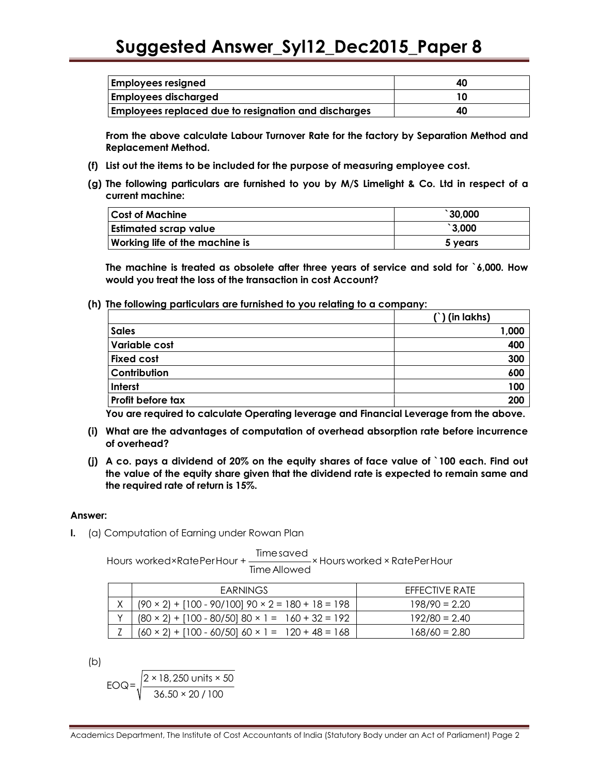| <b>Employees resigned</b>                                   | 40 |
|-------------------------------------------------------------|----|
| <b>Employees discharged</b>                                 |    |
| <b>Employees replaced due to resignation and discharges</b> | 40 |

From the above calculate Labour Turnover Rate for the factory by Separation Method and Replacement Method.

- (f) List out the items to be included for the purpose of measuring employee cost.
- (g) The following particulars are furnished to you by M/S Limelight & Co. Ltd in respect of a current machine:

| <b>Cost of Machine</b>                | $\degree$ 30,000 |
|---------------------------------------|------------------|
| <b>Estimated scrap value</b>          | $\degree$ 3,000  |
| <b>Working life of the machine is</b> | 5 years          |

The machine is treated as obsolete after three years of service and sold for `6,000. How would you treat the loss of the transaction in cost Account?

(h) The following particulars are furnished to you relating to a company:

|                      | $(')$ (in lakhs) |  |
|----------------------|------------------|--|
| <b>Sales</b>         | 1,000            |  |
| <b>Variable cost</b> | 400              |  |
| <b>Fixed cost</b>    | 300              |  |
| Contribution         | 600              |  |
| Interst              | 100              |  |
| Profit before tax    | 200              |  |

You are required to calculate Operating leverage and Financial Leverage from the above.

- (i) What are the advantages of computation of overhead absorption rate before incurrence of overhead?
- (j) A co. pays a dividend of 20% on the equity shares of face value of `100 each. Find out the value of the equity share given that the dividend rate is expected to remain same and the required rate of return is 15%.

#### Answer:

I. (a) Computation of Earning under Rowan Plan

Timesaved Hours worked×RatePerHour + × Hours worked × RatePerHour TimeAllowed

|   | <b>EARNINGS</b>                                                 | <b>FFFFCTIVE RATE</b> |
|---|-----------------------------------------------------------------|-----------------------|
| Χ | $(90 \times 2) + [100 - 90/100]$ 90 $\times$ 2 = 180 + 18 = 198 | $198/90 = 2.20$       |
|   | $(80 \times 2) + [100 - 80/50] 80 \times 1 = 160 + 32 = 192$    | $192/80 = 2.40$       |
|   | $(60 \times 2) + [100 - 60/50]$ 60 × 1 = 120 + 48 = 168         | 168/60 = 2.80         |

(b)

$$
EOQ = \sqrt{\frac{2 \times 18,250 \text{ units} \times 50}{36.50 \times 20 / 100}}
$$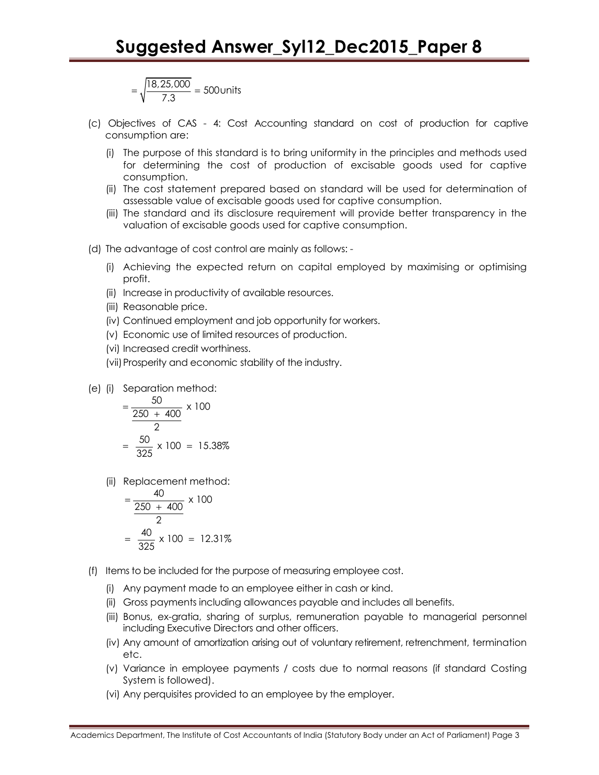$$
=\sqrt{\frac{18,25,000}{7.3}} = 500
$$
 units

- (c) Objectives of CAS 4: Cost Accounting standard on cost of production for captive consumption are:
	- (i) The purpose of this standard is to bring uniformity in the principles and methods used for determining the cost of production of excisable goods used for captive consumption.
	- (ii) The cost statement prepared based on standard will be used for determination of assessable value of excisable goods used for captive consumption.
	- (iii) The standard and its disclosure requirement will provide better transparency in the valuation of excisable goods used for captive consumption.
- (d) The advantage of cost control are mainly as follows:
	- (i) Achieving the expected return on capital employed by maximising or optimising profit.
	- (ii) Increase in productivity of available resources.
	- (iii) Reasonable price.
	- (iv) Continued employment and job opportunity for workers.
	- (v) Economic use of limited resources of production.
	- (vi) Increased credit worthiness.
	- (vii)Prosperity and economic stability of the industry.
- (e) (i) Separation method:

$$
= \frac{50}{\frac{250 + 400}{2}} \times 100
$$

$$
= \frac{50}{325} \times 100 = 15.38\%
$$

(ii) Replacement method:

$$
= \frac{40}{\frac{250 + 400}{2}} \times 100
$$

$$
= \frac{40}{325} \times 100 = 12.31\%
$$

- (f) Items to be included for the purpose of measuring employee cost.
	- (i) Any payment made to an employee either in cash or kind.
	- (ii) Gross payments including allowances payable and includes all benefits.
	- (iii) Bonus, ex-gratia, sharing of surplus, remuneration payable to managerial personnel including Executive Directors and other officers.
	- (iv) Any amount of amortization arising out of voluntary retirement, retrenchment, termination etc.
	- (v) Variance in employee payments / costs due to normal reasons (if standard Costing System is followed).
	- (vi) Any perquisites provided to an employee by the employer.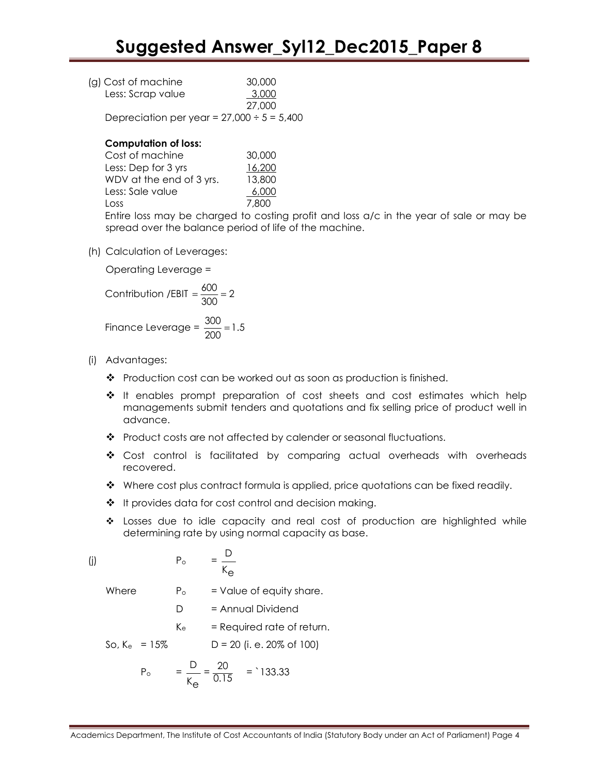| (g) Cost of machine | 30,000 |
|---------------------|--------|
| Less: Scrap value   | 3,000  |
|                     | 27.000 |

Depreciation per year =  $27,000 \div 5 = 5,400$ 

#### Computation of loss:

| Cost of machine          | 30,000 |
|--------------------------|--------|
| Less: Dep for 3 yrs      | 16,200 |
| WDV at the end of 3 yrs. | 13,800 |
| Less: Sale value         | 6,000  |
| Loss                     | 7.800  |

Entire loss may be charged to costing profit and loss a/c in the year of sale or may be spread over the balance period of life of the machine.

(h) Calculation of Leverages:

Operating Leverage =

$$
Contribution / EBIT = \frac{600}{300} = 2
$$

Finance Leverage =  $\frac{300}{200}$  = 1.5 =

- (i) Advantages:
	- $\div$  Production cost can be worked out as soon as production is finished.
	- $\div$  It enables prompt preparation of cost sheets and cost estimates which help managements submit tenders and quotations and fix selling price of product well in advance.
	- Product costs are not affected by calender or seasonal fluctuations.
	- Cost control is facilitated by comparing actual overheads with overheads recovered.
	- $\bullet$  Where cost plus contract formula is applied, price quotations can be fixed readily.
	- ❖ It provides data for cost control and decision making.
	- Losses due to idle capacity and real cost of production are highlighted while determining rate by using normal capacity as base.

$$
\text{(j)} \qquad \qquad \mathsf{P}_{\circ} \qquad = \frac{\mathsf{D}}{\mathsf{K}_{\mathsf{e}}}
$$

Where  $P_0 =$  Value of equity share.

D = Annual Dividend

 $K_e$  = Required rate of return.

So,  $K_e = 15\%$  D = 20 (i. e. 20% of 100)

 $P_{\circ}$ 

$$
= \frac{D}{K_{\Theta}} = \frac{20}{0.15} = 133.33
$$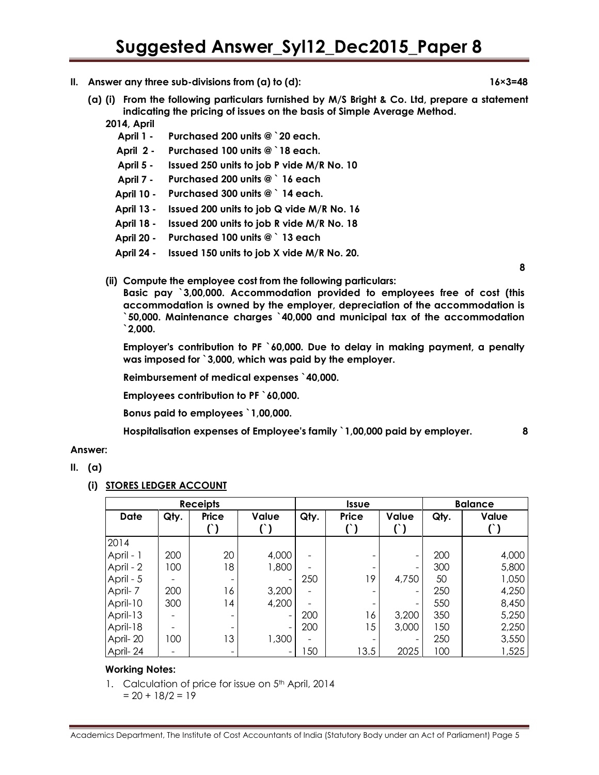- II. Answer any three sub-divisions from  $(a)$  to  $(d)$ :  $16 \times 3 = 48$ 
	- (a) (i) From the following particulars furnished by M/S Bright & Co. Ltd, prepare a statement indicating the pricing of issues on the basis of Simple Average Method.
		- 2014, April
			- April 1 Purchased 200 units @ `20 each.
			- April 2 Purchased 100 units @ `18 each.
			- April 5 Issued 250 units to job P vide M/R No. 10
			- April 7 Purchased 200 units @ ` 16 each
			- April 10 Purchased 300 units @ ` 14 each.
			- April 13 Issued 200 units to job Q vide M/R No. 16
			- April 18 Issued 200 units to job R vide M/R No. 18
			- April 20 Purchased 100 units @ ` 13 each
			- April 24 Issued 150 units to job X vide M/R No. 20.

8

(ii) Compute the employee cost from the following particulars:

Basic pay `3,00,000. Accommodation provided to employees free of cost (this accommodation is owned by the employer, depreciation of the accommodation is `50,000. Maintenance charges `40,000 and municipal tax of the accommodation `2,000.

Employer's contribution to PF `60,000. Due to delay in making payment, a penalty was imposed for `3,000, which was paid by the employer.

Reimbursement of medical expenses `40,000.

Employees contribution to PF `60,000.

Bonus paid to employees `1,00,000.

Hospitalisation expenses of Employee's family `1,00,000 paid by employer. 8

#### Answer:

- II. (a)
	- (i) STORES LEDGER ACCOUNT

| <b>Receipts</b> |      |       | <b>Issue</b>          |      | <b>Balance</b> |                     |      |                |
|-----------------|------|-------|-----------------------|------|----------------|---------------------|------|----------------|
| <b>Date</b>     | Qty. | Price | Value<br>$^{\prime})$ | Qty. | Price<br>$($ ) | Value<br>$^{\circ}$ | Qty. | Value<br>$($ ) |
| 2014            |      |       |                       |      |                |                     |      |                |
| April - 1       | 200  | 20    | 4,000                 |      |                |                     | 200  | 4,000          |
| April - 2       | 100  | 18    | 1,800                 |      |                |                     | 300  | 5,800          |
| April - 5       |      |       |                       | 250  | 19             | 4,750               | 50   | 1,050          |
| April-7         | 200  | 16    | 3,200                 |      |                |                     | 250  | 4,250          |
| April-10        | 300  | 14    | 4,200                 |      |                |                     | 550  | 8,450          |
| April-13        |      |       |                       | 200  | 16             | 3,200               | 350  | 5,250          |
| April-18        |      |       |                       | 200  | 15             | 3,000               | 150  | 2,250          |
| April-20        | 100  | 13    | 1,300                 |      |                |                     | 250  | 3,550          |
| April-24        |      | -     |                       | 50   | 13.5           | 2025                | 100  | 1,525          |

#### Working Notes:

1. Calculation of price for issue on 5<sup>th</sup> April, 2014

 $= 20 + 18/2 = 19$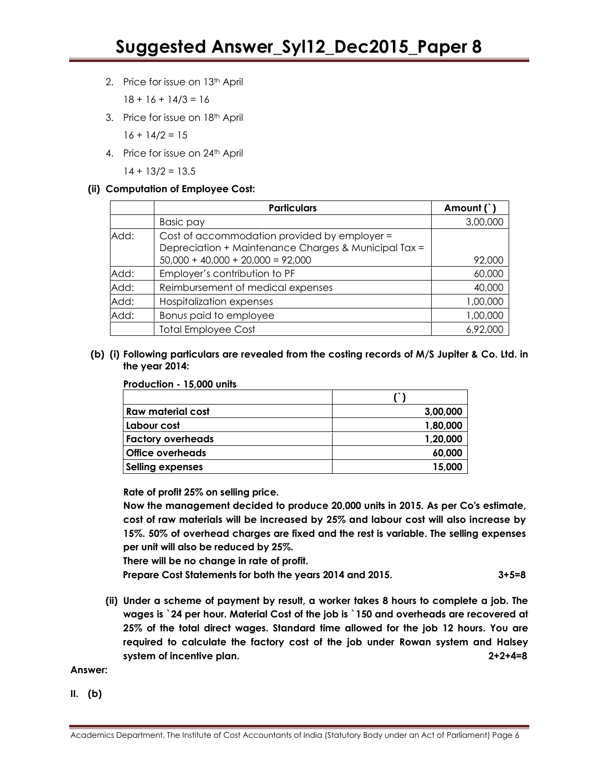2. Price for issue on 13<sup>th</sup> April

 $18 + 16 + 14/3 = 16$ 

3. Price for issue on 18<sup>th</sup> April

 $16 + 14/2 = 15$ 

4. Price for issue on 24<sup>th</sup> April

 $14 + 13/2 = 13.5$ 

#### (ii) Computation of Employee Cost:

|      | <b>Particulars</b>                                                                                   | Amount (`) |
|------|------------------------------------------------------------------------------------------------------|------------|
|      | <b>Basic pay</b>                                                                                     | 3,00,000   |
| Add: | Cost of accommodation provided by employer =<br>Depreciation + Maintenance Charges & Municipal Tax = |            |
|      | $50,000 + 40,000 + 20,000 = 92,000$                                                                  | 92,000     |
| Add: | Employer's contribution to PF                                                                        | 60,000     |
| Add: | Reimbursement of medical expenses                                                                    | 40,000     |
| Add: | <b>Hospitalization expenses</b>                                                                      | 1,00,000   |
| Add: | Bonus paid to employee                                                                               | 1,00,000   |
|      | <b>Total Employee Cost</b>                                                                           | 6,92,000   |

#### (b) (i) Following particulars are revealed from the costing records of M/S Jupiter & Co. Ltd. in the year 2014:

#### Production - 15,000 units

| Raw material cost        | 3,00,000 |
|--------------------------|----------|
| Labour cost              | 1,80,000 |
| <b>Factory overheads</b> | 1,20,000 |
| <b>Office overheads</b>  | 60,000   |
| <b>Selling expenses</b>  | 15,000   |

Rate of profit 25% on selling price.

Now the management decided to produce 20,000 units in 2015. As per Co's estimate, cost of raw materials will be increased by 25% and labour cost will also increase by 15%. 50% of overhead charges are fixed and the rest is variable. The selling expenses per unit will also be reduced by 25%.

There will be no change in rate of profit.

Prepare Cost Statements for both the years 2014 and 2015. 3+5=8

(ii) Under a scheme of payment by result, a worker takes 8 hours to complete a job. The wages is `24 per hour. Material Cost of the job is `150 and overheads are recovered at 25% of the total direct wages. Standard time allowed for the job 12 hours. You are required to calculate the factory cost of the job under Rowan system and Halsey system of incentive plan.  $2+2+4=8$ 

Answer:

II. (b)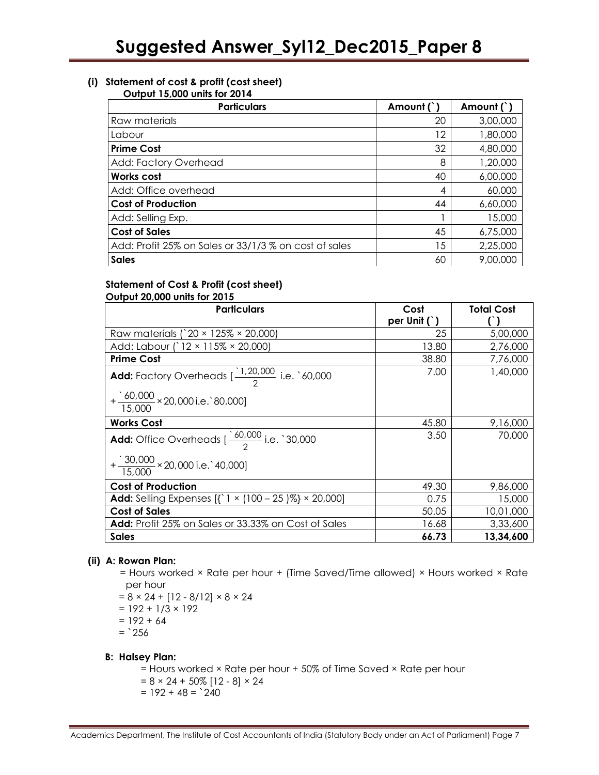#### (i) Statement of cost & profit (cost sheet)

#### Output 15,000 units for 2014

| <b>Particulars</b>                                    | Amount ( | Amount (`) |
|-------------------------------------------------------|----------|------------|
| Raw materials                                         | 20       | 3,00,000   |
| Labour                                                | 12       | 1,80,000   |
| <b>Prime Cost</b>                                     | 32       | 4,80,000   |
| Add: Factory Overhead                                 | 8        | 1,20,000   |
| <b>Works cost</b>                                     | 40       | 6,00,000   |
| Add: Office overhead                                  | 4        | 60,000     |
| <b>Cost of Production</b>                             | 44       | 6,60,000   |
| Add: Selling Exp.                                     |          | 15,000     |
| <b>Cost of Sales</b>                                  | 45       | 6,75,000   |
| Add: Profit 25% on Sales or 33/1/3 % on cost of sales | 15       | 2,25,000   |
| <b>Sales</b>                                          | 60       | 9,00,000   |

#### Statement of Cost & Profit (cost sheet) Output 20,000 units for 2015

| <b>Particulars</b>                                                                    | Cost<br>per Unit $( )$ | <b>Total Cost</b> |
|---------------------------------------------------------------------------------------|------------------------|-------------------|
| Raw materials (`20 × 125% × 20,000)                                                   | 25                     | 5,00,000          |
| Add: Labour (`12 × 115% × 20,000)                                                     | 13.80                  | 2,76,000          |
| <b>Prime Cost</b>                                                                     | 38.80                  | 7,76,000          |
| <b>Add:</b> Factory Overheads $\left[\frac{1,20,000}{2}\right]$ i.e. $\degree$ 60,000 | 7.00                   | 1,40,000          |
| $+\frac{60,000}{15,000} \times 20,000$ i.e. `80,000]                                  |                        |                   |
| <b>Works Cost</b>                                                                     | 45.80                  | 9,16,000          |
| <b>Add:</b> Office Overheads $\left(\frac{60,000}{2}\right)$ i.e. '30,000             | 3.50                   | 70,000            |
| $+\frac{30,000}{15,000} \times 20,000$ i.e. 40,000]                                   |                        |                   |
| <b>Cost of Production</b>                                                             | 49.30                  | 9,86,000          |
| <b>Add:</b> Selling Expenses $\{\}$ 1 × (100 - 25 )%} × 20,000]                       | 0.75                   | 15,000            |
| <b>Cost of Sales</b>                                                                  | 50.05                  | 10,01,000         |
| <b>Add:</b> Profit 25% on Sales or 33.33% on Cost of Sales                            | 16.68                  | 3,33,600          |
| <b>Sales</b>                                                                          | 66.73                  | 13,34,600         |

#### (ii) A: Rowan Plan:

- $=$  Hours worked  $\times$  Rate per hour + (Time Saved/Time allowed)  $\times$  Hours worked  $\times$  Rate per hour
- $= 8 \times 24 + [12 8/12] \times 8 \times 24$
- $= 192 + 1/3 \times 192$
- $= 192 + 64$
- $=$  256

#### B: Halsey Plan:

 = Hours worked × Rate per hour + 50% of Time Saved × Rate per hour  $= 8 \times 24 + 50\%$  [12 - 8]  $\times 24$  $= 192 + 48 =$  240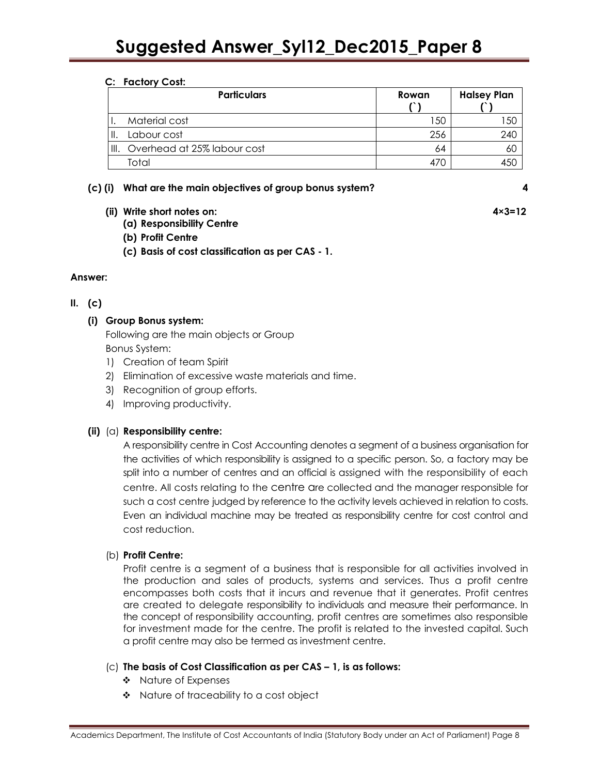#### C: Factory Cost:

|      | <b>Particulars</b>          | Rowan | <b>Halsey Plan</b> |
|------|-----------------------------|-------|--------------------|
|      | Material cost               | 150   | -50                |
|      | Labour cost                 | 256   | 240                |
| III. | Overhead at 25% labour cost | 64    | 6U                 |
|      | Total                       |       |                    |

#### (c) (i) What are the main objectives of group bonus system? 4

- (ii) Write short notes on: 4×3=12
	- (a) Responsibility Centre
	- (b) Profit Centre
	- (c) Basis of cost classification as per CAS 1.

#### Answer:

#### $II. (c)$

#### (i) Group Bonus system:

Following are the main objects or Group Bonus System:

- 1) Creation of team Spirit
- 2) Elimination of excessive waste materials and time.
- 3) Recognition of group efforts.
- 4) Improving productivity.

#### (ii)  $(a)$  Responsibility centre:

A responsibility centre in Cost Accounting denotes a segment of a business organisation for the activities of which responsibility is assigned to a specific person. So, a factory may be split into a number of centres and an official is assigned with the responsibility of each centre. All costs relating to the centre are collected and the manager responsible for such a cost centre judged by reference to the activity levels achieved in relation to costs. Even an individual machine may be treated as responsibility centre for cost control and cost reduction.

#### (b) Profit Centre:

Profit centre is a segment of a business that is responsible for all activities involved in the production and sales of products, systems and services. Thus a profit centre encompasses both costs that it incurs and revenue that it generates. Profit centres are created to delegate responsibility to individuals and measure their performance. In the concept of responsibility accounting, profit centres are sometimes also responsible for investment made for the centre. The profit is related to the invested capital. Such a profit centre may also be termed as investment centre.

#### (c) The basis of Cost Classification as per CAS – 1, is as follows:

- ❖ Nature of Expenses
- \* Nature of traceability to a cost object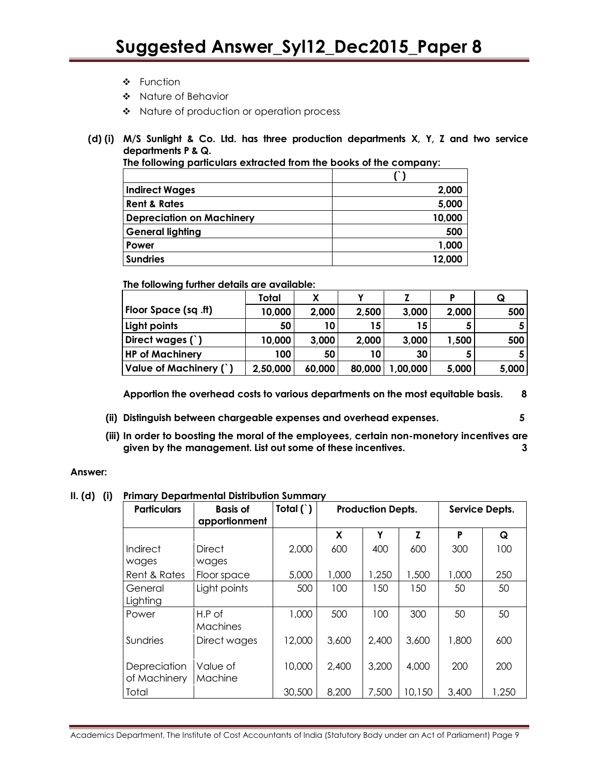- ❖ Function
- Nature of Behavior
- \* Nature of production or operation process
- (d) (i) M/S Sunlight & Co. Ltd. has three production departments X, Y, Z and two service departments P & Q. The following particulars extracted from the books of the company:

| The following particulars exhacted from the books of the company. |        |
|-------------------------------------------------------------------|--------|
|                                                                   |        |
| <b>Indirect Wages</b>                                             | 2.000  |
| <b>Rent &amp; Rates</b>                                           | 5,000  |
| Depreciation on Machinery                                         | 10,000 |
| General lighting                                                  | 500    |

Power the contract of the contract of the contract of the contract of the contract of the contract of the contract of the contract of the contract of the contract of the contract of the contract of the contract of the cont Sundries 12,000

The following further details are available:

|                        | Total    | x      |        |         | Þ     | Q     |
|------------------------|----------|--------|--------|---------|-------|-------|
| Floor Space (sq.ft)    | 10,000   | 2,000  | 2,500  | 3,000   | 2,000 | 500   |
| Light points           | 50       | 10     | 15     | 15      |       |       |
| Direct wages (`)       | 10,000   | 3,000  | 2,000  | 3,000   | 1,500 | 500   |
| <b>HP of Machinery</b> | 100      | 50     | 10     | 30      |       |       |
| Value of Machinery (`) | 2,50,000 | 60,000 | 80,000 | ,00,000 | 5,000 | 5,000 |

Apportion the overhead costs to various departments on the most equitable basis. 8

- (ii) Distinguish between chargeable expenses and overhead expenses. 5
- (iii) In order to boosting the moral of the employees, certain non-monetory incentives are given by the management. List out some of these incentives. 3

#### Answer:

II. (d) (i) Primary Departmental Distribution Summary

| <b>Particulars</b>           | <b>Basis of</b><br>apportionment | Total $( )$ | <b>Production Depts.</b> |       |        | Service Depts. |       |
|------------------------------|----------------------------------|-------------|--------------------------|-------|--------|----------------|-------|
|                              |                                  |             | X                        | Υ     | Z      | P              | Q     |
| Indirect<br>wages            | Direct<br>wages                  | 2,000       | 600                      | 400   | 600    | 300            | 100   |
| Rent & Rates                 | Floor space                      | 5,000       | 1,000                    | 1,250 | 1,500  | 1,000          | 250   |
| General<br>Lighting          | Light points                     | 500         | 100                      | 150   | 150    | 50             | 50    |
| Power                        | $H.P.$ of<br>Machines            | 1,000       | 500                      | 100   | 300    | 50             | 50    |
| Sundries                     | Direct wages                     | 12,000      | 3,600                    | 2,400 | 3,600  | 1,800          | 600   |
| Depreciation<br>of Machinery | Value of<br>Machine              | 10,000      | 2,400                    | 3,200 | 4,000  | 200            | 200   |
| Total                        |                                  | 30,500      | 8,200                    | 7,500 | 10,150 | 3,400          | 1,250 |

Academics Department, The Institute of Cost Accountants of India (Statutory Body under an Act of Parliament) Page 9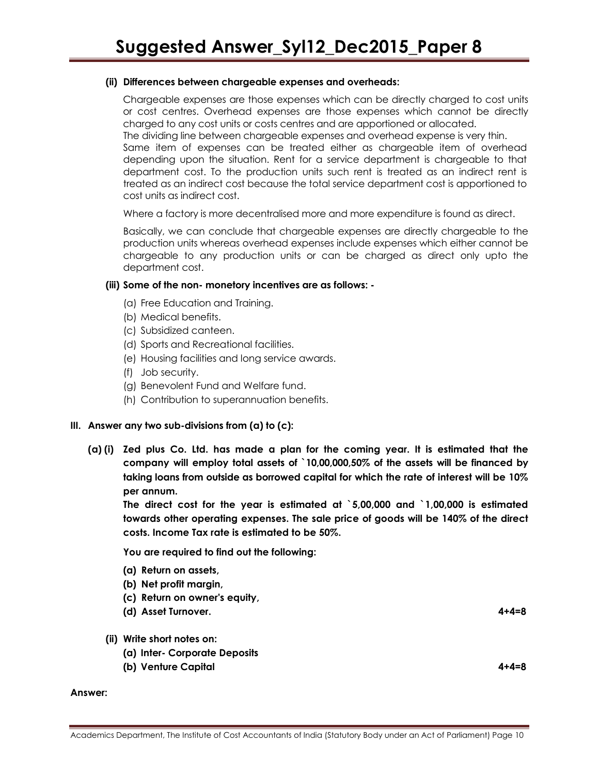#### (ii) Differences between chargeable expenses and overheads:

Chargeable expenses are those expenses which can be directly charged to cost units or cost centres. Overhead expenses are those expenses which cannot be directly charged to any cost units or costs centres and are apportioned or allocated.

The dividing line between chargeable expenses and overhead expense is very thin.

Same item of expenses can be treated either as chargeable item of overhead depending upon the situation. Rent for a service department is chargeable to that department cost. To the production units such rent is treated as an indirect rent is treated as an indirect cost because the total service department cost is apportioned to cost units as indirect cost.

Where a factory is more decentralised more and more expenditure is found as direct.

Basically, we can conclude that chargeable expenses are directly chargeable to the production units whereas overhead expenses include expenses which either cannot be chargeable to any production units or can be charged as direct only upto the department cost.

#### (iii) Some of the non- monetory incentives are as follows: -

- (a) Free Education and Training.
- (b) Medical benefits.
- (c) Subsidized canteen.
- (d) Sports and Recreational facilities.
- (e) Housing facilities and long service awards.
- (f) Job security.
- (g) Benevolent Fund and Welfare fund.
- (h) Contribution to superannuation benefits.

#### III. Answer any two sub-divisions from  $(a)$  to  $(c)$ :

(a) (i) Zed plus Co. Ltd. has made a plan for the coming year. It is estimated that the company will employ total assets of `10,00,000,50% of the assets will be financed by taking loans from outside as borrowed capital for which the rate of interest will be 10% per annum.

The direct cost for the year is estimated at `5,00,000 and `1,00,000 is estimated towards other operating expenses. The sale price of goods will be 140% of the direct costs. Income Tax rate is estimated to be 50%.

You are required to find out the following:

- (a) Return on assets,
- (b) Net profit margin,
- (c) Return on owner's equity,
- (d) Asset Turnover. 4+4=8

#### (ii) Write short notes on:

- (a) Inter- Corporate Deposits
- (b) Venture Capital 4+4=8

#### Answer:

Academics Department, The Institute of Cost Accountants of India (Statutory Body under an Act of Parliament) Page 10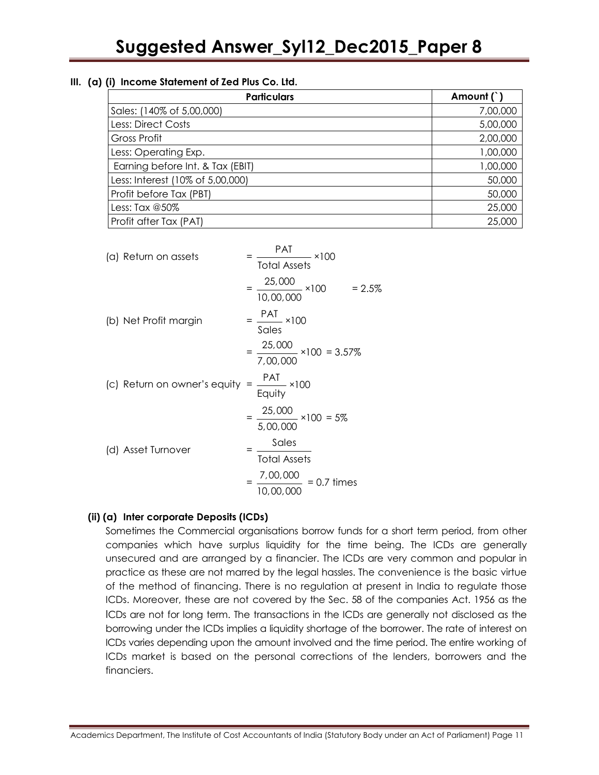#### III. (a) (i) Income Statement of Zed Plus Co. Ltd.

| <b>Particulars</b>               | Amount (`) |
|----------------------------------|------------|
| Sales: (140% of 5,00,000)        | 7,00,000   |
| <b>Less: Direct Costs</b>        | 5,00,000   |
| Gross Profit                     | 2,00,000   |
| Less: Operating Exp.             | 1,00,000   |
| Earning before Int. & Tax (EBIT) | 1,00,000   |
| Less: Interest (10% of 5,00,000) | 50,000     |
| Profit before Tax (PBT)          | 50,000     |
| Less: Tax @50%                   | 25,000     |
| Profit after Tax (PAT)           | 25,000     |

| (a) Return on assets         | PAT<br>$\frac{174}{100}$ × 100<br><b>Total Assets</b>            |
|------------------------------|------------------------------------------------------------------|
|                              | $=\frac{25,000}{10,00,000} \times 100$<br>$= 2.5\%$<br>10,00,000 |
| (b) Net Profit margin        | $=\frac{\text{PAT}}{2} \times 100$<br>Sales                      |
|                              | $= \frac{25,000}{7,00,000} \times 100 = 3.57\%$                  |
| (c) Return on owner's equity | $=\frac{PAT}{Equity} \times 100$                                 |
|                              | $=\frac{25,000}{5,00,000}$ ×100 = 5%                             |
| (d) Asset Turnover           | Sales<br><b>Total Assets</b>                                     |
|                              | $=\frac{7,00,000}{10,000}$<br>$= 0.7$ times<br>10,00,000         |

#### (ii) (a) Inter corporate Deposits (ICDs)

Sometimes the Commercial organisations borrow funds for a short term period, from other companies which have surplus liquidity for the time being. The ICDs are generally unsecured and are arranged by a financier. The ICDs are very common and popular in practice as these are not marred by the legal hassles. The convenience is the basic virtue of the method of financing. There is no regulation at present in India to regulate those ICDs. Moreover, these are not covered by the Sec. 58 of the companies Act. 1956 as the ICDs are not for long term. The transactions in the ICDs are generally not disclosed as the borrowing under the ICDs implies a liquidity shortage of the borrower. The rate of interest on ICDs varies depending upon the amount involved and the time period. The entire working of ICDs market is based on the personal corrections of the lenders, borrowers and the financiers.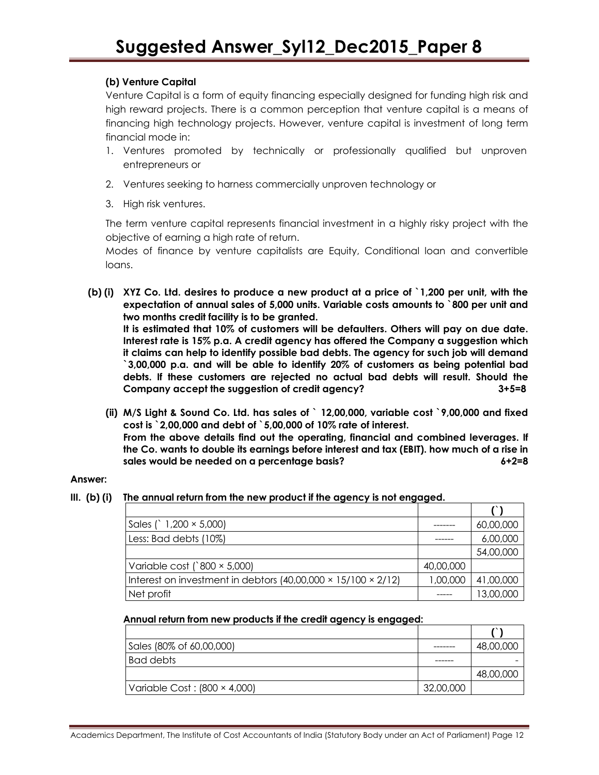#### (b) Venture Capital

 Venture Capital is a form of equity financing especially designed for funding high risk and high reward projects. There is a common perception that venture capital is a means of financing high technology projects. However, venture capital is investment of long term financial mode in:

- 1. Ventures promoted by technically or professionally qualified but unproven entrepreneurs or
- 2. Ventures seeking to harness commercially unproven technology or
- 3. High risk ventures.

The term venture capital represents financial investment in a highly risky project with the objective of earning a high rate of return.

Modes of finance by venture capitalists are Equity, Conditional loan and convertible loans.

(b) (i) XYZ Co. Ltd. desires to produce a new product at a price of `1,200 per unit, with the expectation of annual sales of 5,000 units. Variable costs amounts to `800 per unit and two months credit facility is to be granted.

 It is estimated that 10% of customers will be defaulters. Others will pay on due date. Interest rate is 15% p.a. A credit agency has offered the Company a suggestion which it claims can help to identify possible bad debts. The agency for such job will demand `3,00,000 p.a. and will be able to identify 20% of customers as being potential bad debts. If these customers are rejected no actual bad debts will result. Should the Company accept the suggestion of credit agency? 3+5=8

 (ii) M/S Light & Sound Co. Ltd. has sales of ` 12,00,000, variable cost `9,00,000 and fixed cost is `2,00,000 and debt of `5,00,000 of 10% rate of interest. From the above details find out the operating, financial and combined leverages. If the Co. wants to double its earnings before interest and tax (EBIT). how much of a rise in sales would be needed on a percentage basis? 6+2=8

#### Answer:

#### III. (b) (i) The annual return from the new product if the agency is not engaged.

| Sales (` $1,200 \times 5,000$ )                               |           | 60,00,000 |
|---------------------------------------------------------------|-----------|-----------|
| Less: Bad debts (10%)                                         |           | 6,00,000  |
|                                                               |           | 54,00,000 |
| Variable cost ( $800 \times 5,000$ )                          | 40,00,000 |           |
| Interest on investment in debtors (40,00,000 × 15/100 × 2/12) | 1,00,000  | 41,00,000 |
| Net profit                                                    |           | 13,00,000 |

#### Annual return from new products if the credit agency is engaged:

| Sales (80% of 60,00,000)            |           | 48,00,000 |
|-------------------------------------|-----------|-----------|
| <b>Bad debts</b>                    |           |           |
|                                     |           | 48,00,000 |
| Variable Cost: $(800 \times 4,000)$ | 32,00,000 |           |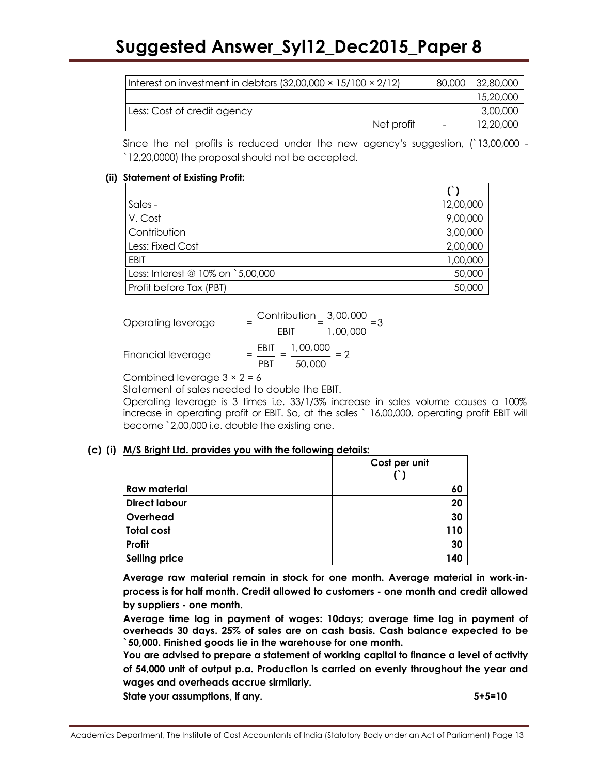| Interest on investment in debtors $(32,00,000 \times 15/100 \times 2/12)$ | 80,000 | 32,80,000 |
|---------------------------------------------------------------------------|--------|-----------|
|                                                                           |        | 15,20,000 |
| Less: Cost of credit agency                                               |        | 3,00,000  |
| Net profit                                                                |        | 12,20,000 |

Since the net profits is reduced under the new agency's suggestion, (`13,00,000 - `12,20,0000) the proposal should not be accepted.

#### (ii) Statement of Existing Profit:

| Sales -                           | 12,00,000 |
|-----------------------------------|-----------|
| V. Cost                           | 9,00,000  |
| Contribution                      | 3,00,000  |
| Less: Fixed Cost                  | 2,00,000  |
| <b>EBIT</b>                       | 1,00,000  |
| Less: Interest @ 10% on `5,00,000 | 50,000    |
| Profit before Tax (PBT)           | 50,000    |

| Operating leverage | Contribution 3,00,000             |
|--------------------|-----------------------------------|
|                    | 1,00,000<br>FRIT                  |
| Financial leverage | 1,00,000<br>EBIT<br>50.000<br>PRT |

Combined leverage  $3 \times 2 = 6$ 

Statement of sales needed to double the EBIT.

Operating leverage is 3 times i.e. 33/1/3% increase in sales volume causes a 100% increase in operating profit or EBIT. So, at the sales ` 16,00,000, operating profit EBIT will become `2,00,000 i.e. double the existing one.

#### (c) (i) M/S Bright Ltd. provides you with the following details:

|                      | Cost per unit |
|----------------------|---------------|
|                      |               |
| <b>Raw material</b>  | 60            |
| <b>Direct labour</b> | 20            |
| Overhead             | 30            |
| <b>Total cost</b>    | 110           |
| Profit               | 30            |
| <b>Selling price</b> | 140           |

Average raw material remain in stock for one month. Average material in work-inprocess is for half month. Credit allowed to customers - one month and credit allowed by suppliers - one month.

Average time lag in payment of wages: 10days; average time lag in payment of overheads 30 days. 25% of sales are on cash basis. Cash balance expected to be `50,000. Finished goods lie in the warehouse for one month.

You are advised to prepare a statement of working capital to finance a level of activity of 54,000 unit of output p.a. Production is carried on evenly throughout the year and wages and overheads accrue sirmilarly.

State your assumptions, if any. Share and the state of  $5+5=10$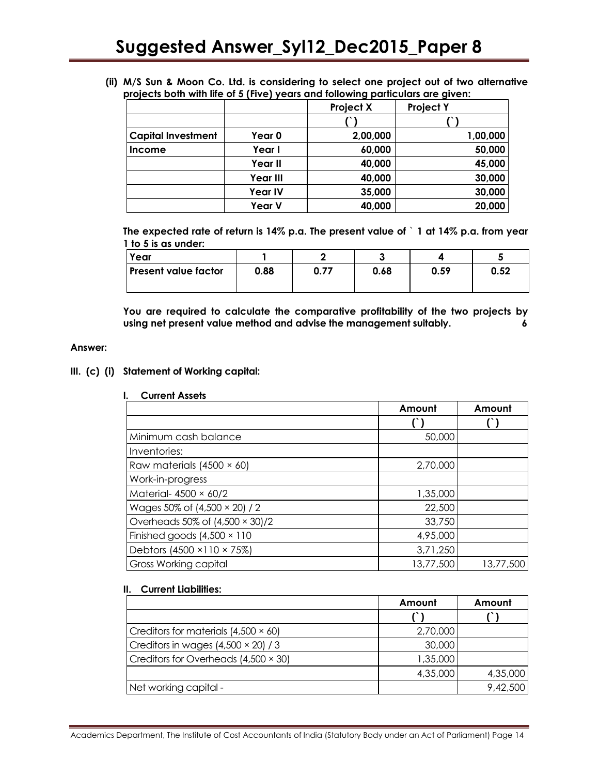(ii) M/S Sun & Moon Co. Ltd. is considering to select one project out of two alternative projects both with life of 5 (Five) years and following particulars are given:

|                           |                 | <b>Project X</b> | <b>Project Y</b> |
|---------------------------|-----------------|------------------|------------------|
|                           |                 |                  |                  |
| <b>Capital Investment</b> | Year 0          | 2,00,000         | 1,00,000         |
| Income                    | Year I          | 60,000           | 50,000           |
|                           | Year II         | 40,000           | 45,000           |
|                           | <b>Year III</b> | 40,000           | 30,000           |
|                           | <b>Year IV</b>  | 35,000           | 30,000           |
|                           | Year V          | 40,000           | 20,000           |

The expected rate of return is 14% p.a. The present value of ` 1 at 14% p.a. from year 1 to 5 is as under:

| Year                        |      |      |      |      |      |
|-----------------------------|------|------|------|------|------|
| <b>Present value factor</b> | 0.88 | 0.77 | 0.68 | 0.59 | 0.52 |

You are required to calculate the comparative profitability of the two projects by using net present value method and advise the management suitably. 6

#### Answer:

#### III. (c) (i) Statement of Working capital:

I. Current Assets Amount | Amount  $(')$   $(')$ Minimum cash balance 50,000 Inventories: Raw materials  $(4500 \times 60)$  2,70,000 Work-in-progress Material- 4500 × 60/2 1,35,000 Wages 50% of  $(4,500 \times 20)$  / 2  $\hspace{1.5cm}$  22,500 Overheads 50% of  $(4,500 \times 30)/2$   $\qquad \qquad$  33,750 Finished goods  $(4,500 \times 110$   $4,95,000$ Debtors (4500 × 110 × 75%)  $3,71,250$ Gross Working capital 2008 2012 13,77,500 13,77,500 13,77,500

#### II. Current Liabilities:

|                                             | Amount   | Amount   |
|---------------------------------------------|----------|----------|
|                                             |          |          |
| Creditors for materials $(4,500 \times 60)$ | 2,70,000 |          |
| Creditors in wages $(4,500 \times 20)$ / 3  | 30,000   |          |
| Creditors for Overheads (4,500 × 30)        | 1,35,000 |          |
|                                             | 4,35,000 | 4,35,000 |
| Net working capital -                       |          | 9,42,500 |